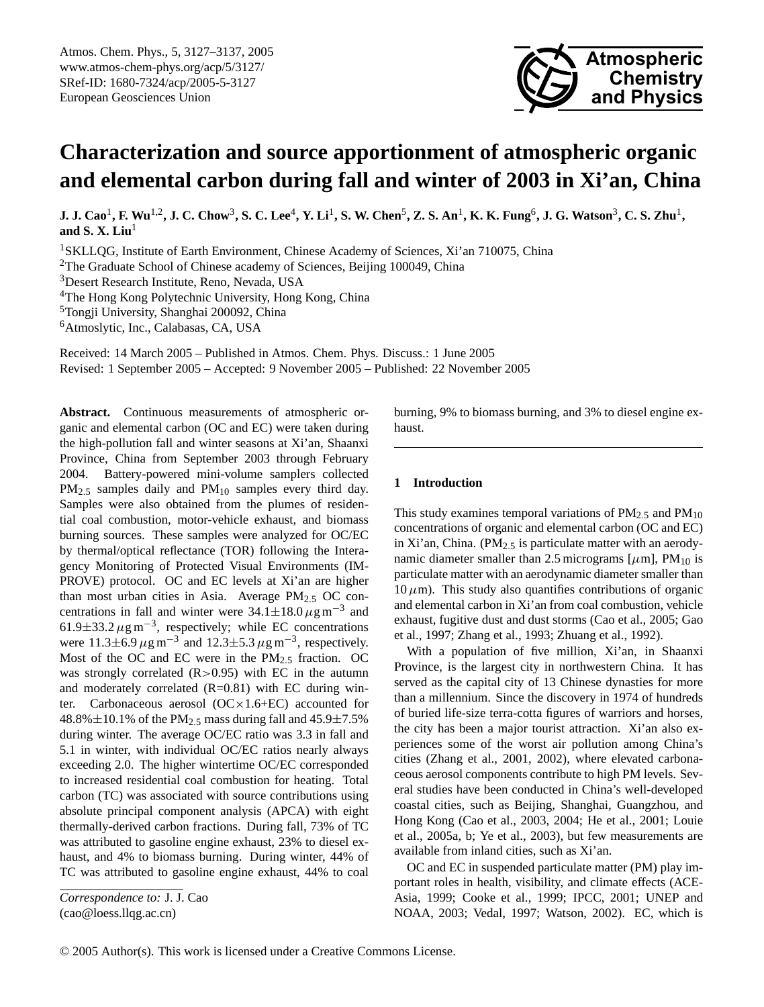

# **Characterization and source apportionment of atmospheric organic and elemental carbon during fall and winter of 2003 in Xi'an, China**

**J. J. Cao**<sup>1</sup> **, F. Wu**1,2**, J. C. Chow**<sup>3</sup> **, S. C. Lee**<sup>4</sup> **, Y. Li**<sup>1</sup> **, S. W. Chen**<sup>5</sup> **, Z. S. An**<sup>1</sup> **, K. K. Fung**<sup>6</sup> **, J. G. Watson**<sup>3</sup> **, C. S. Zhu**<sup>1</sup> **, and S. X. Liu**<sup>1</sup>

<sup>1</sup>SKLLQG, Institute of Earth Environment, Chinese Academy of Sciences, Xi'an 710075, China

<sup>2</sup>The Graduate School of Chinese academy of Sciences, Beijing 100049, China

<sup>3</sup>Desert Research Institute, Reno, Nevada, USA

<sup>4</sup>The Hong Kong Polytechnic University, Hong Kong, China

<sup>5</sup>Tongji University, Shanghai 200092, China

<sup>6</sup>Atmoslytic, Inc., Calabasas, CA, USA

Received: 14 March 2005 – Published in Atmos. Chem. Phys. Discuss.: 1 June 2005 Revised: 1 September 2005 – Accepted: 9 November 2005 – Published: 22 November 2005

**Abstract.** Continuous measurements of atmospheric organic and elemental carbon (OC and EC) were taken during the high-pollution fall and winter seasons at Xi'an, Shaanxi Province, China from September 2003 through February 2004. Battery-powered mini-volume samplers collected PM<sub>2.5</sub> samples daily and PM<sub>10</sub> samples every third day. Samples were also obtained from the plumes of residential coal combustion, motor-vehicle exhaust, and biomass burning sources. These samples were analyzed for OC/EC by thermal/optical reflectance (TOR) following the Interagency Monitoring of Protected Visual Environments (IM-PROVE) protocol. OC and EC levels at Xi'an are higher than most urban cities in Asia. Average  $PM_{2.5}$  OC concentrations in fall and winter were  $34.1 \pm 18.0 \,\mu g \,\text{m}^{-3}$  and 61.9 $\pm$ 33.2  $\mu$ g m<sup>-3</sup>, respectively; while EC concentrations were 11.3±6.9  $\mu$ g m<sup>-3</sup> and 12.3±5.3  $\mu$ g m<sup>-3</sup>, respectively. Most of the OC and EC were in the  $PM<sub>2.5</sub>$  fraction. OC was strongly correlated  $(R>0.95)$  with EC in the autumn and moderately correlated  $(R=0.81)$  with EC during winter. Carbonaceous aerosol (OC×1.6+EC) accounted for 48.8% $\pm$ 10.1% of the PM<sub>2.5</sub> mass during fall and 45.9 $\pm$ 7.5% during winter. The average OC/EC ratio was 3.3 in fall and 5.1 in winter, with individual OC/EC ratios nearly always exceeding 2.0. The higher wintertime OC/EC corresponded to increased residential coal combustion for heating. Total carbon (TC) was associated with source contributions using absolute principal component analysis (APCA) with eight thermally-derived carbon fractions. During fall, 73% of TC was attributed to gasoline engine exhaust, 23% to diesel exhaust, and 4% to biomass burning. During winter, 44% of TC was attributed to gasoline engine exhaust, 44% to coal

*Correspondence to:* J. J. Cao

<span id="page-0-0"></span>(cao@loess.llqg.ac.cn)

burning, 9% to biomass burning, and 3% to diesel engine exhaust.

## **1 Introduction**

This study examines temporal variations of  $PM_{2.5}$  and  $PM_{10}$ concentrations of organic and elemental carbon (OC and EC) in Xi'an, China. ( $PM_{2.5}$  is particulate matter with an aerodynamic diameter smaller than 2.5 micrograms  $[\mu m]$ , PM<sub>10</sub> is particulate matter with an aerodynamic diameter smaller than  $10 \mu$ m). This study also quantifies contributions of organic and elemental carbon in Xi'an from coal combustion, vehicle exhaust, fugitive dust and dust storms (Cao et al., 2005; Gao et al., 1997; Zhang et al., 1993; Zhuang et al., 1992).

With a population of five million, Xi'an, in Shaanxi Province, is the largest city in northwestern China. It has served as the capital city of 13 Chinese dynasties for more than a millennium. Since the discovery in 1974 of hundreds of buried life-size terra-cotta figures of warriors and horses, the city has been a major tourist attraction. Xi'an also experiences some of the worst air pollution among China's cities (Zhang et al., 2001, 2002), where elevated carbonaceous aerosol components contribute to high PM levels. Several studies have been conducted in China's well-developed coastal cities, such as Beijing, Shanghai, Guangzhou, and Hong Kong (Cao et al., 2003, 2004; He et al., 2001; Louie et al., 2005a, b; Ye et al., 2003), but few measurements are available from inland cities, such as Xi'an.

OC and EC in suspended particulate matter (PM) play important roles in health, visibility, and climate effects (ACE-Asia, 1999; Cooke et al., 1999; IPCC, 2001; UNEP and NOAA, 2003; Vedal, 1997; Watson, 2002). EC, which is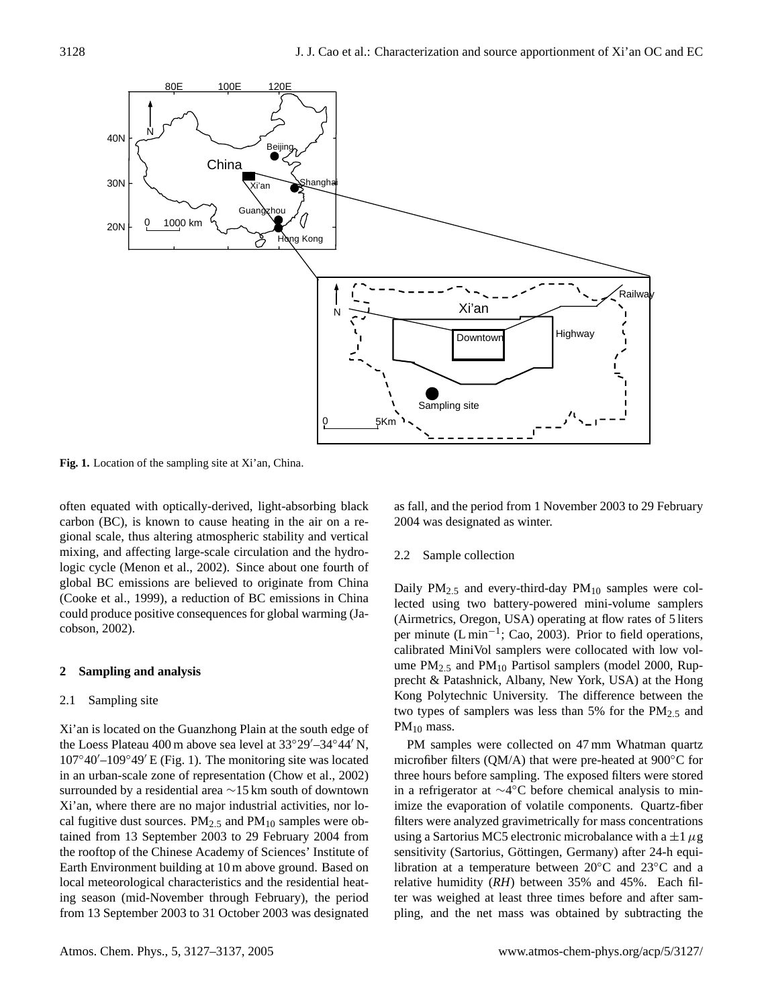

**Fig. 1.** Location of the sampling site at Xi'an, China.

often equated with optically-derived, light-absorbing black carbon (BC), is known to cause heating in the air on a regional scale, thus altering atmospheric stability and vertical mixing, and affecting large-scale circulation and the hydrologic cycle (Menon et al., 2002). Since about one fourth of global BC emissions are believed to originate from China (Cooke et al., 1999), a reduction of BC emissions in China could produce positive consequences for global warming (Jacobson, 2002).

# **2 Sampling and analysis**

# 2.1 Sampling site

Xi'an is located on the Guanzhong Plain at the south edge of the Loess Plateau 400 m above sea level at  $33^{\circ}29' - 34^{\circ}44'$  N,  $107°40'$ – $109°49'$  E (Fig. 1). The monitoring site was located in an urban-scale zone of representation (Chow et al., 2002) surrounded by a residential area ∼15 km south of downtown Xi'an, where there are no major industrial activities, nor local fugitive dust sources.  $PM_{2.5}$  and  $PM_{10}$  samples were obtained from 13 September 2003 to 29 February 2004 from the rooftop of the Chinese Academy of Sciences' Institute of Earth Environment building at 10 m above ground. Based on local meteorological characteristics and the residential heating season (mid-November through February), the period from 13 September 2003 to 31 October 2003 was designated as fall, and the period from 1 November 2003 to 29 February 2004 was designated as winter.

# 2.2 Sample collection

Daily  $PM_{2.5}$  and every-third-day  $PM_{10}$  samples were collected using two battery-powered mini-volume samplers (Airmetrics, Oregon, USA) operating at flow rates of 5 liters per minute (L min<sup>-1</sup>; Cao, 2003). Prior to field operations, calibrated MiniVol samplers were collocated with low volume  $PM_{2.5}$  and  $PM_{10}$  Partisol samplers (model 2000, Rupprecht & Patashnick, Albany, New York, USA) at the Hong Kong Polytechnic University. The difference between the two types of samplers was less than 5% for the  $PM<sub>2.5</sub>$  and  $PM_{10}$  mass.

PM samples were collected on 47 mm Whatman quartz microfiber filters (QM/A) that were pre-heated at 900◦C for three hours before sampling. The exposed filters were stored in a refrigerator at ∼4 ◦C before chemical analysis to minimize the evaporation of volatile components. Quartz-fiber filters were analyzed gravimetrically for mass concentrations using a Sartorius MC5 electronic microbalance with a  $\pm 1 \mu$ g sensitivity (Sartorius, Göttingen, Germany) after 24-h equilibration at a temperature between 20◦C and 23◦C and a relative humidity (*RH*) between 35% and 45%. Each filter was weighed at least three times before and after sampling, and the net mass was obtained by subtracting the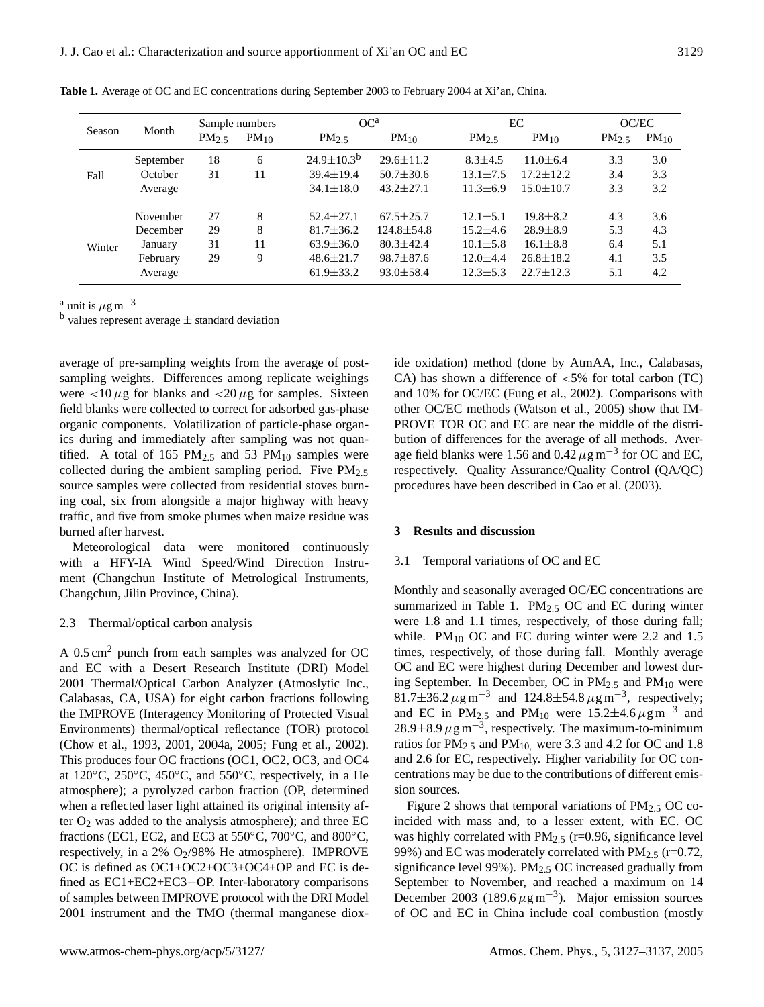|        | Month     | Sample numbers    |           | OC <sup>a</sup>   |                  |                   | EC              | OC/EC             |           |
|--------|-----------|-------------------|-----------|-------------------|------------------|-------------------|-----------------|-------------------|-----------|
| Season |           | PM <sub>2.5</sub> | $PM_{10}$ | PM <sub>2.5</sub> | $PM_{10}$        | PM <sub>2.5</sub> | $PM_{10}$       | PM <sub>2.5</sub> | $PM_{10}$ |
| Fall   | September | 18                | 6         | $24.9 \pm 10.3^b$ | $29.6 \pm 11.2$  | $8.3 \pm 4.5$     | $11.0 \pm 6.4$  | 3.3               | 3.0       |
|        | October   | 31                | 11        | $39.4 \pm 19.4$   | $50.7 \pm 30.6$  | $13.1 \pm 7.5$    | $17.2 \pm 12.2$ | 3.4               | 3.3       |
|        | Average   |                   |           | $34.1 \pm 18.0$   | $43.2 \pm 27.1$  | $11.3 \pm 6.9$    | $15.0 \pm 10.7$ | 3.3               | 3.2       |
|        | November  | 27                | 8         | $52.4 \pm 27.1$   | $67.5 \pm 25.7$  | $12.1 \pm 5.1$    | $19.8 \pm 8.2$  | 4.3               | 3.6       |
| Winter | December  | 29                | 8         | $81.7 \pm 36.2$   | $124.8 \pm 54.8$ | $15.2 \pm 4.6$    | $28.9 \pm 8.9$  | 5.3               | 4.3       |
|        | January   | 31                | 11        | $63.9 \pm 36.0$   | $80.3 \pm 42.4$  | $10.1 \pm 5.8$    | $16.1 \pm 8.8$  | 6.4               | 5.1       |
|        | February  | 29                | 9         | $48.6 \pm 21.7$   | $98.7 \pm 87.6$  | $12.0 \pm 4.4$    | $26.8 \pm 18.2$ | 4.1               | 3.5       |
|        | Average   |                   |           | $61.9 \pm 33.2$   | $93.0 \pm 58.4$  | $12.3 \pm 5.3$    | $22.7 \pm 12.3$ | 5.1               | 4.2       |

**Table 1.** Average of OC and EC concentrations during September 2003 to February 2004 at Xi'an, China.

<sup>a</sup> unit is  $\mu$ g m<sup>-3</sup>

 $<sup>b</sup>$  values represent average  $\pm$  standard deviation</sup>

average of pre-sampling weights from the average of postsampling weights. Differences among replicate weighings were  $<$ 10  $\mu$ g for blanks and  $<$ 20  $\mu$ g for samples. Sixteen field blanks were collected to correct for adsorbed gas-phase organic components. Volatilization of particle-phase organics during and immediately after sampling was not quantified. A total of 165 PM $_{2.5}$  and 53 PM $_{10}$  samples were collected during the ambient sampling period. Five  $PM_{2.5}$ source samples were collected from residential stoves burning coal, six from alongside a major highway with heavy traffic, and five from smoke plumes when maize residue was burned after harvest.

Meteorological data were monitored continuously with a HFY-IA Wind Speed/Wind Direction Instrument (Changchun Institute of Metrological Instruments, Changchun, Jilin Province, China).

#### 2.3 Thermal/optical carbon analysis

A 0.5 cm<sup>2</sup> punch from each samples was analyzed for OC and EC with a Desert Research Institute (DRI) Model 2001 Thermal/Optical Carbon Analyzer (Atmoslytic Inc., Calabasas, CA, USA) for eight carbon fractions following the IMPROVE (Interagency Monitoring of Protected Visual Environments) thermal/optical reflectance (TOR) protocol (Chow et al., 1993, 2001, 2004a, 2005; Fung et al., 2002). This produces four OC fractions (OC1, OC2, OC3, and OC4 at  $120\textdegree$ C,  $250\textdegree$ C,  $450\textdegree$ C, and  $550\textdegree$ C, respectively, in a He atmosphere); a pyrolyzed carbon fraction (OP, determined when a reflected laser light attained its original intensity after  $O_2$  was added to the analysis atmosphere); and three EC fractions (EC1, EC2, and EC3 at 550 $\degree$ C, 700 $\degree$ C, and 800 $\degree$ C, respectively, in a 2%  $O<sub>2</sub>/98%$  He atmosphere). IMPROVE OC is defined as OC1+OC2+OC3+OC4+OP and EC is defined as EC1+EC2+EC3−OP. Inter-laboratory comparisons of samples between IMPROVE protocol with the DRI Model 2001 instrument and the TMO (thermal manganese dioxide oxidation) method (done by AtmAA, Inc., Calabasas, CA) has shown a difference of  $<5\%$  for total carbon (TC) and 10% for OC/EC (Fung et al., 2002). Comparisons with other OC/EC methods (Watson et al., 2005) show that IM-PROVE TOR OC and EC are near the middle of the distribution of differences for the average of all methods. Average field blanks were 1.56 and  $0.42 \,\mu$ g m<sup>-3</sup> for OC and EC, respectively. Quality Assurance/Quality Control (QA/QC) procedures have been described in Cao et al. (2003).

#### **3 Results and discussion**

#### 3.1 Temporal variations of OC and EC

Monthly and seasonally averaged OC/EC concentrations are summarized in Table 1.  $PM_{2.5}$  OC and EC during winter were 1.8 and 1.1 times, respectively, of those during fall; while.  $PM_{10}$  OC and EC during winter were 2.2 and 1.5 times, respectively, of those during fall. Monthly average OC and EC were highest during December and lowest during September. In December, OC in  $PM_{2.5}$  and  $PM_{10}$  were 81.7±36.2  $\mu$ g m<sup>-3</sup> and 124.8±54.8  $\mu$ g m<sup>-3</sup>, respectively; and EC in PM<sub>2.5</sub> and PM<sub>10</sub> were 15.2±4.6  $\mu$ g m<sup>-3</sup> and 28.9±8.9  $\mu$ g m<sup>-3</sup>, respectively. The maximum-to-minimum ratios for  $PM_{2.5}$  and  $PM_{10}$ , were 3.3 and 4.2 for OC and 1.8 and 2.6 for EC, respectively. Higher variability for OC concentrations may be due to the contributions of different emission sources.

Figure 2 shows that temporal variations of  $PM_{2.5}$  OC coincided with mass and, to a lesser extent, with EC. OC was highly correlated with  $PM_{2.5}$  (r=0.96, significance level 99%) and EC was moderately correlated with  $PM<sub>2.5</sub>$  (r=0.72, significance level 99%).  $PM_{2.5}$  OC increased gradually from September to November, and reached a maximum on 14 December 2003 (189.6  $\mu$ g m<sup>-3</sup>). Major emission sources of OC and EC in China include coal combustion (mostly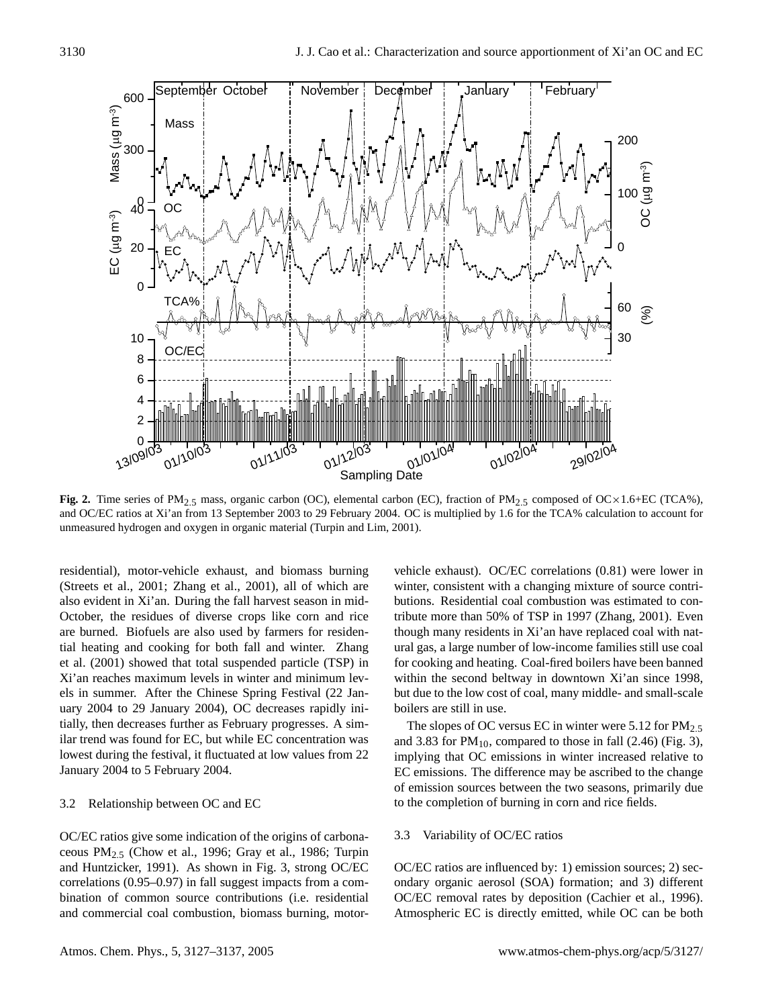

**Fig. 2.** Time series of PM<sub>2.5</sub> mass, organic carbon (OC), elemental carbon (EC), fraction of PM<sub>2.5</sub> composed of OC×1.6+EC (TCA%), and OC/EC ratios at Xi'an from 13 September 2003 to 29 February 2004. OC is multiplied by 1.6 for the TCA% calculation to account for unmeasured hydrogen and oxygen in organic material (Turpin and Lim, 2001).

residential), motor-vehicle exhaust, and biomass burning (Streets et al., 2001; Zhang et al., 2001), all of which are also evident in Xi'an. During the fall harvest season in mid-October, the residues of diverse crops like corn and rice are burned. Biofuels are also used by farmers for residential heating and cooking for both fall and winter. Zhang et al. (2001) showed that total suspended particle (TSP) in Xi'an reaches maximum levels in winter and minimum levels in summer. After the Chinese Spring Festival (22 January 2004 to 29 January 2004), OC decreases rapidly initially, then decreases further as February progresses. A similar trend was found for EC, but while EC concentration was lowest during the festival, it fluctuated at low values from 22 January 2004 to 5 February 2004.

#### 3.2 Relationship between OC and EC

OC/EC ratios give some indication of the origins of carbonaceous  $PM<sub>2.5</sub>$  (Chow et al., 1996; Gray et al., 1986; Turpin and Huntzicker, 1991). As shown in Fig. 3, strong OC/EC correlations (0.95–0.97) in fall suggest impacts from a combination of common source contributions (i.e. residential and commercial coal combustion, biomass burning, motorvehicle exhaust). OC/EC correlations (0.81) were lower in winter, consistent with a changing mixture of source contributions. Residential coal combustion was estimated to contribute more than 50% of TSP in 1997 (Zhang, 2001). Even though many residents in Xi'an have replaced coal with natural gas, a large number of low-income families still use coal for cooking and heating. Coal-fired boilers have been banned within the second beltway in downtown Xi'an since 1998, but due to the low cost of coal, many middle- and small-scale boilers are still in use.

The slopes of OC versus EC in winter were  $5.12$  for  $PM_{2.5}$ and 3.83 for  $PM_{10}$ , compared to those in fall (2.46) (Fig. 3), implying that OC emissions in winter increased relative to EC emissions. The difference may be ascribed to the change of emission sources between the two seasons, primarily due to the completion of burning in corn and rice fields.

### 3.3 Variability of OC/EC ratios

OC/EC ratios are influenced by: 1) emission sources; 2) secondary organic aerosol (SOA) formation; and 3) different OC/EC removal rates by deposition (Cachier et al., 1996). Atmospheric EC is directly emitted, while OC can be both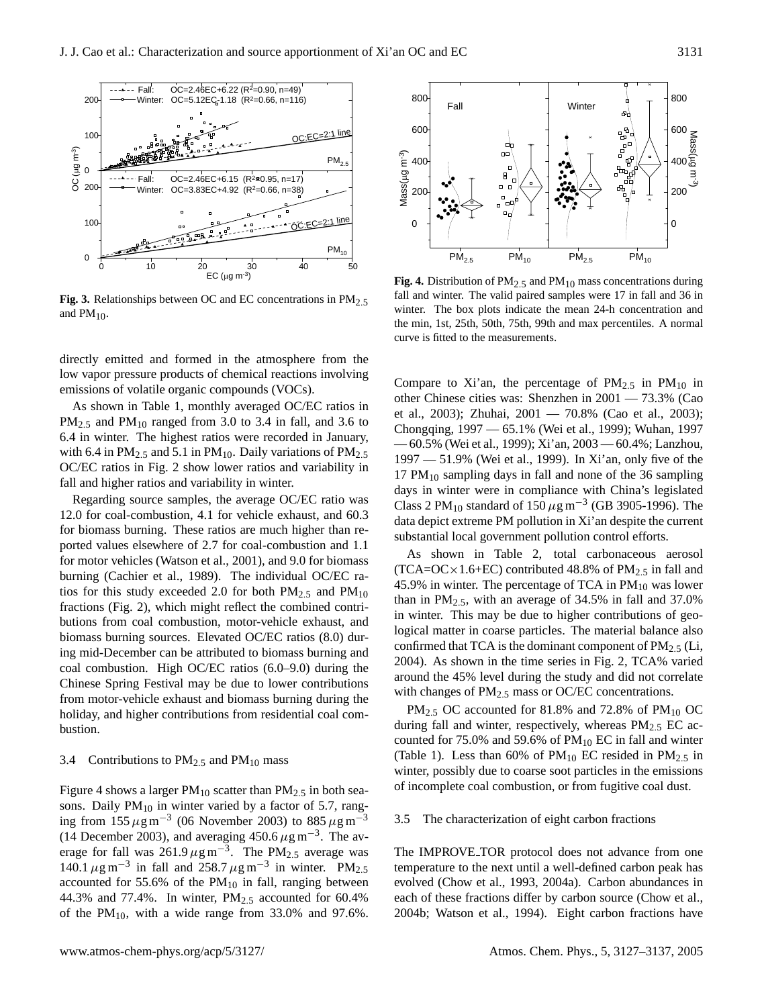

**Fig. 3.** Relationships between OC and EC concentrations in PM<sub>2.5</sub> and  $PM_{10}$ .

directly emitted and formed in the atmosphere from the low vapor pressure products of chemical reactions involving emissions of volatile organic compounds (VOCs).

As shown in Table 1, monthly averaged OC/EC ratios in  $PM_{2.5}$  and  $PM_{10}$  ranged from 3.0 to 3.4 in fall, and 3.6 to 6.4 in winter. The highest ratios were recorded in January, with 6.4 in  $PM_{2.5}$  and 5.1 in  $PM_{10}$ . Daily variations of  $PM_{2.5}$ OC/EC ratios in Fig. 2 show lower ratios and variability in fall and higher ratios and variability in winter.

Regarding source samples, the average OC/EC ratio was 12.0 for coal-combustion, 4.1 for vehicle exhaust, and 60.3 for biomass burning. These ratios are much higher than reported values elsewhere of 2.7 for coal-combustion and 1.1 for motor vehicles (Watson et al., 2001), and 9.0 for biomass burning (Cachier et al., 1989). The individual OC/EC ratios for this study exceeded 2.0 for both  $PM_{2.5}$  and  $PM_{10}$ fractions (Fig. 2), which might reflect the combined contributions from coal combustion, motor-vehicle exhaust, and biomass burning sources. Elevated OC/EC ratios (8.0) during mid-December can be attributed to biomass burning and coal combustion. High OC/EC ratios (6.0–9.0) during the Chinese Spring Festival may be due to lower contributions from motor-vehicle exhaust and biomass burning during the holiday, and higher contributions from residential coal combustion.

#### 3.4 Contributions to  $PM_{2.5}$  and  $PM_{10}$  mass

Figure 4 shows a larger  $PM_{10}$  scatter than  $PM_{2.5}$  in both seasons. Daily  $PM_{10}$  in winter varied by a factor of 5.7, ranging from 155  $\mu$ g m<sup>-3</sup> (06 November 2003) to 885  $\mu$ g m<sup>-3</sup> (14 December 2003), and averaging 450.6  $\mu$ g m<sup>-3</sup>. The average for fall was  $261.9 \,\mu g \,\text{m}^{-3}$ . The PM<sub>2.5</sub> average was 140.1  $\mu$ g m<sup>-3</sup> in fall and 258.7  $\mu$ g m<sup>-3</sup> in winter. PM<sub>2.5</sub> accounted for 55.6% of the  $PM_{10}$  in fall, ranging between 44.3% and 77.4%. In winter,  $PM_{2.5}$  accounted for 60.4% of the  $PM_{10}$ , with a wide range from 33.0% and 97.6%.



**Fig. 4.** Distribution of  $PM_{2.5}$  and  $PM_{10}$  mass concentrations during fall and winter. The valid paired samples were 17 in fall and 36 in winter. The box plots indicate the mean 24-h concentration and the min, 1st, 25th, 50th, 75th, 99th and max percentiles. A normal curve is fitted to the measurements.

Compare to Xi'an, the percentage of  $PM_{2.5}$  in  $PM_{10}$  in other Chinese cities was: Shenzhen in 2001 — 73.3% (Cao et al., 2003); Zhuhai, 2001 — 70.8% (Cao et al., 2003); Chongqing, 1997 — 65.1% (Wei et al., 1999); Wuhan, 1997 — 60.5% (Wei et al., 1999); Xi'an, 2003 — 60.4%; Lanzhou, 1997 — 51.9% (Wei et al., 1999). In Xi'an, only five of the 17  $PM_{10}$  sampling days in fall and none of the 36 sampling days in winter were in compliance with China's legislated Class 2 PM<sub>10</sub> standard of 150  $\mu$ g m<sup>-3</sup> (GB 3905-1996). The data depict extreme PM pollution in Xi'an despite the current substantial local government pollution control efforts.

As shown in Table 2, total carbonaceous aerosol  $(TCA=OC\times1.6+EC)$  contributed 48.8% of PM<sub>2.5</sub> in fall and 45.9% in winter. The percentage of TCA in  $PM_{10}$  was lower than in PM<sub>2.5</sub>, with an average of  $34.5\%$  in fall and  $37.0\%$ in winter. This may be due to higher contributions of geological matter in coarse particles. The material balance also confirmed that TCA is the dominant component of  $PM_{2.5}$  (Li, 2004). As shown in the time series in Fig. 2, TCA% varied around the 45% level during the study and did not correlate with changes of  $PM_{2.5}$  mass or OC/EC concentrations.

PM<sub>2.5</sub> OC accounted for 81.8% and 72.8% of PM<sub>10</sub> OC during fall and winter, respectively, whereas  $PM_{2.5}$  EC accounted for 75.0% and 59.6% of  $PM_{10}$  EC in fall and winter (Table 1). Less than 60% of  $PM_{10}$  EC resided in  $PM_{2.5}$  in winter, possibly due to coarse soot particles in the emissions of incomplete coal combustion, or from fugitive coal dust.

### 3.5 The characterization of eight carbon fractions

The IMPROVE TOR protocol does not advance from one temperature to the next until a well-defined carbon peak has evolved (Chow et al., 1993, 2004a). Carbon abundances in each of these fractions differ by carbon source (Chow et al., 2004b; Watson et al., 1994). Eight carbon fractions have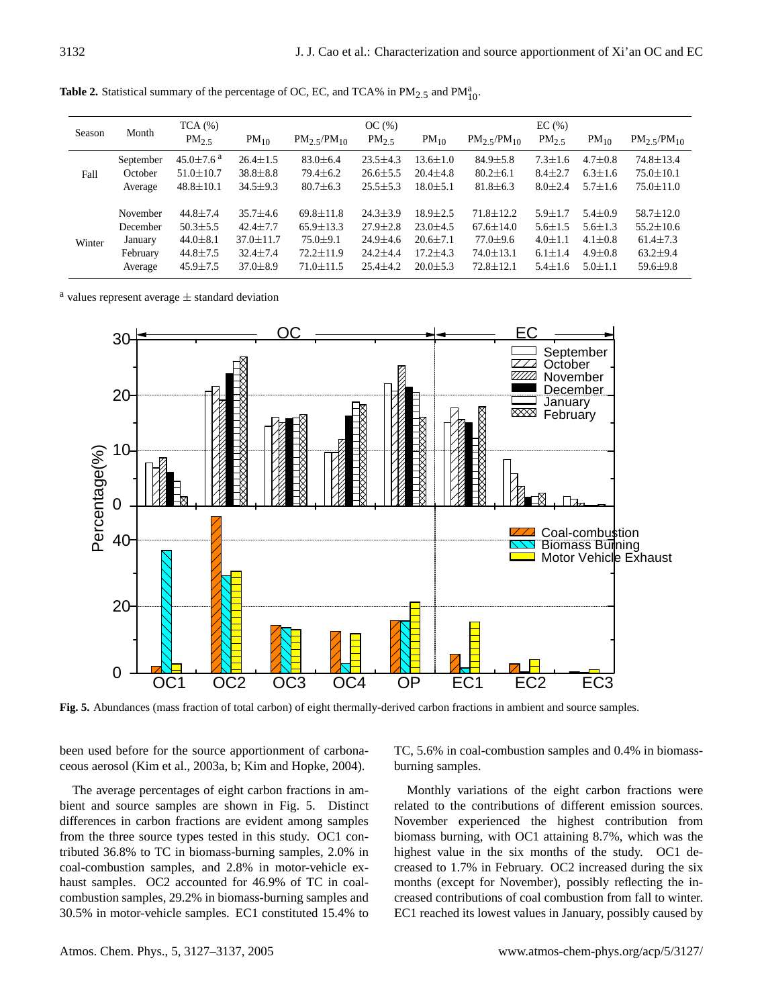| Month     | TCA(%)                      |                 | OC(%)                      |                   |                |                           |               |               |                           |
|-----------|-----------------------------|-----------------|----------------------------|-------------------|----------------|---------------------------|---------------|---------------|---------------------------|
|           | PM <sub>2.5</sub>           | $PM_{10}$       | $PM_2$ $\frac{5}{PM_{10}}$ | PM <sub>2.5</sub> | $PM_{10}$      | $PM_2$ 5/PM <sub>10</sub> | $PM_2$ 5      | $PM_{10}$     | $PM_2$ 5/PM <sub>10</sub> |
| September | $45.0 \pm 7.6$ <sup>a</sup> | $26.4 \pm 1.5$  | $83.0 \pm 6.4$             | $23.5 \pm 4.3$    | $13.6 \pm 1.0$ | $84.9 \pm 5.8$            | $7.3 \pm 1.6$ | $4.7 \pm 0.8$ | $74.8 \pm 13.4$           |
| October   | $51.0 \pm 10.7$             | $38.8 \pm 8.8$  | $79.4 \pm 6.2$             | $26.6 \pm 5.5$    | $20.4 \pm 4.8$ | $80.2 \pm 6.1$            | $8.4 \pm 2.7$ | $6.3 + 1.6$   | $75.0 \pm 10.1$           |
| Average   | $48.8 \pm 10.1$             | $34.5 \pm 9.3$  | $80.7 \pm 6.3$             | $25.5 \pm 5.3$    | $18.0 \pm 5.1$ | $81.8 \pm 6.3$            | $8.0 \pm 2.4$ | $5.7 + 1.6$   | $75.0 \pm 11.0$           |
|           |                             |                 |                            |                   |                |                           |               |               |                           |
| November  | $44.8 \pm 7.4$              | $35.7 + 4.6$    | $69.8 \pm 11.8$            | $24.3 \pm 3.9$    | $18.9 \pm 2.5$ | $71.8 \pm 12.2$           | $5.9 + 1.7$   | $5.4 \pm 0.9$ | $58.7 \pm 12.0$           |
| December  | $50.3 \pm 5.5$              | $42.4 \pm 7.7$  | $65.9 \pm 13.3$            | $27.9 \pm 2.8$    | $23.0 \pm 4.5$ | $67.6 \pm 14.0$           | $5.6 \pm 1.5$ | $5.6 \pm 1.3$ | $55.2 \pm 10.6$           |
| January   | $44.0 \pm 8.1$              | $37.0 \pm 11.7$ | $75.0 + 9.1$               | $24.9 \pm 4.6$    | $20.6 \pm 7.1$ | $77.0 \pm 9.6$            | $4.0 \pm 1.1$ | $4.1 \pm 0.8$ | $61.4 \pm 7.3$            |
| February  | $44.8 \pm 7.5$              | $32.4 \pm 7.4$  | $72.2 \pm 11.9$            | $24.2 \pm 4.4$    | $17.2 \pm 4.3$ | $74.0 \pm 13.1$           | $6.1 \pm 1.4$ | $4.9 \pm 0.8$ | $63.2 \pm 9.4$            |
| Average   | $45.9 \pm 7.5$              | $37.0 \pm 8.9$  | $71.0 \pm 11.5$            | $25.4 \pm 4.2$    | $20.0 \pm 5.3$ | $72.8 \pm 12.1$           | $5.4 + 1.6$   | $5.0 + 1.1$   | $59.6 \pm 9.8$            |
|           |                             |                 |                            |                   |                |                           |               | EC(%)         |                           |

**Table 2.** Statistical summary of the percentage of OC, EC, and TCA% in  $PM_{2.5}$  and  $PM_{10}^{a}$ .

 $a$  values represent average  $\pm$  standard deviation



**Fig. 5.** Abundances (mass fraction of total carbon) of eight thermally-derived carbon fractions in ambient and source samples.

been used before for the source apportionment of carbonaceous aerosol (Kim et al., 2003a, b; Kim and Hopke, 2004).

The average percentages of eight carbon fractions in ambient and source samples are shown in Fig. 5. Distinct differences in carbon fractions are evident among samples from the three source types tested in this study. OC1 contributed 36.8% to TC in biomass-burning samples, 2.0% in coal-combustion samples, and 2.8% in motor-vehicle exhaust samples. OC2 accounted for 46.9% of TC in coalcombustion samples, 29.2% in biomass-burning samples and 30.5% in motor-vehicle samples. EC1 constituted 15.4% to TC, 5.6% in coal-combustion samples and 0.4% in biomassburning samples.

Monthly variations of the eight carbon fractions were related to the contributions of different emission sources. November experienced the highest contribution from biomass burning, with OC1 attaining 8.7%, which was the highest value in the six months of the study. OC1 decreased to 1.7% in February. OC2 increased during the six months (except for November), possibly reflecting the increased contributions of coal combustion from fall to winter. EC1 reached its lowest values in January, possibly caused by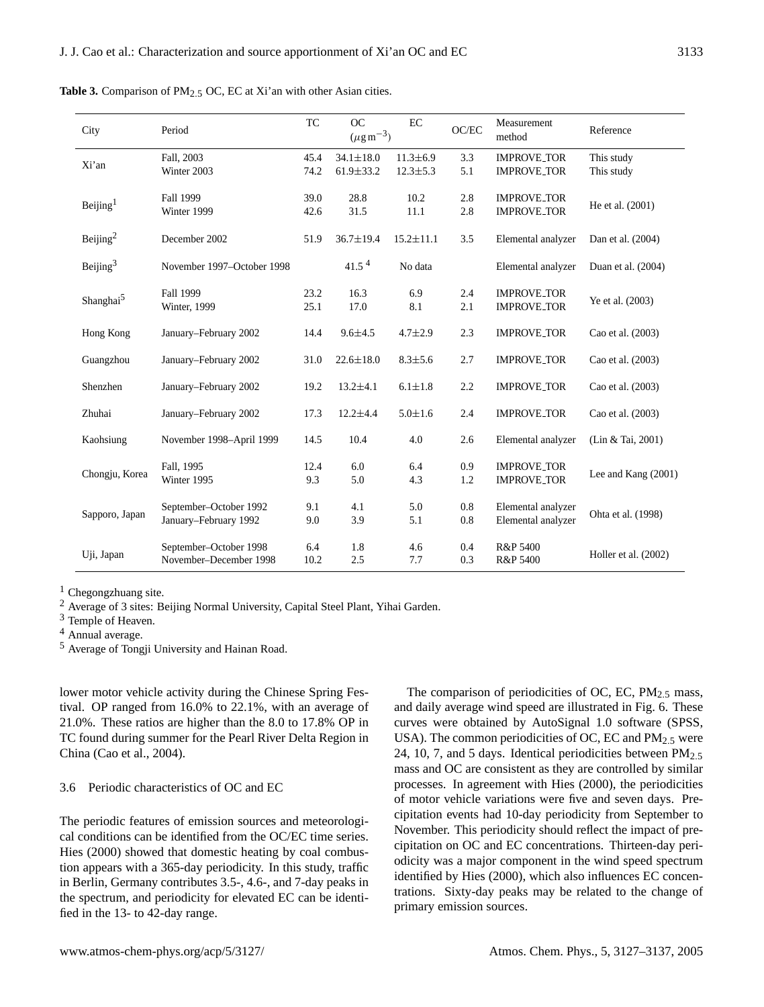| City                  | Period                                           | TC           | OC<br>$(\mu\mathrm{g\,m}^{-3})$    | EC                               | OC/EC          | Measurement<br>method                    | Reference                |
|-----------------------|--------------------------------------------------|--------------|------------------------------------|----------------------------------|----------------|------------------------------------------|--------------------------|
| Xi'an                 | Fall, 2003<br>Winter 2003                        | 45.4<br>74.2 | $34.1 \pm 18.0$<br>$61.9 \pm 33.2$ | $11.3 \pm 6.9$<br>$12.3 \pm 5.3$ | 3.3<br>5.1     | <b>IMPROVE_TOR</b><br><b>IMPROVE_TOR</b> | This study<br>This study |
| Beijing $1$           | Fall 1999<br>Winter 1999                         |              | 28.8<br>31.5                       | 10.2<br>11.1                     | 2.8<br>2.8     | <b>IMPROVE_TOR</b><br><b>IMPROVE_TOR</b> | He et al. (2001)         |
| Beijing <sup>2</sup>  | December 2002                                    | 51.9         | $36.7 \pm 19.4$                    | $15.2 \pm 11.1$                  | 3.5            | Elemental analyzer                       | Dan et al. (2004)        |
| Beijing $3$           | November 1997-October 1998                       |              | 41.5 <sup>4</sup>                  | No data                          |                | Elemental analyzer                       | Duan et al. (2004)       |
| Shanghai <sup>5</sup> | Fall 1999<br>Winter, 1999                        | 23.2<br>25.1 | 16.3<br>17.0                       | 6.9<br>8.1                       | 2.4<br>2.1     | <b>IMPROVE_TOR</b><br><b>IMPROVE_TOR</b> | Ye et al. (2003)         |
| Hong Kong             | January-February 2002                            | 14.4         | $9.6 \pm 4.5$                      | $4.7 \pm 2.9$                    | 2.3            | <b>IMPROVE_TOR</b>                       | Cao et al. (2003)        |
| Guangzhou             | January-February 2002                            | 31.0         | $22.6 \pm 18.0$                    | $8.3 \pm 5.6$                    | 2.7            | <b>IMPROVE_TOR</b>                       | Cao et al. (2003)        |
| Shenzhen              | January-February 2002                            | 19.2         | $13.2 \pm 4.1$                     | $6.1 \pm 1.8$                    | 2.2            | <b>IMPROVE_TOR</b>                       | Cao et al. (2003)        |
| Zhuhai                | January-February 2002                            | 17.3         | $12.2 \pm 4.4$                     | $5.0 \pm 1.6$                    | 2.4            | <b>IMPROVE_TOR</b>                       | Cao et al. (2003)        |
| Kaohsiung             | November 1998-April 1999                         | 14.5         | 10.4                               | 4.0                              | 2.6            | Elemental analyzer                       | (Lin & Tai, 2001)        |
| Chongju, Korea        | Fall, 1995<br>Winter 1995                        | 12.4<br>9.3  | 6.0<br>5.0                         | 6.4<br>4.3                       | 0.9<br>1.2     | <b>IMPROVE_TOR</b><br><b>IMPROVE_TOR</b> | Lee and Kang (2001)      |
| Sapporo, Japan        | September-October 1992<br>January-February 1992  | 9.1<br>9.0   | 4.1<br>3.9                         | 5.0<br>5.1                       | 0.8<br>$0.8\,$ | Elemental analyzer<br>Elemental analyzer | Ohta et al. (1998)       |
| Uji, Japan            | September-October 1998<br>November-December 1998 | 6.4<br>10.2  | 1.8<br>2.5                         | 4.6<br>7.7                       | 0.4<br>0.3     | R&P 5400<br>R&P 5400                     | Holler et al. (2002)     |

Table 3. Comparison of PM<sub>2.5</sub> OC, EC at Xi'an with other Asian cities.

 $1$  Chegongzhuang site.

<sup>2</sup> Average of 3 sites: Beijing Normal University, Capital Steel Plant, Yihai Garden.

<sup>3</sup> Temple of Heaven.

<sup>5</sup> Average of Tongji University and Hainan Road.

lower motor vehicle activity during the Chinese Spring Festival. OP ranged from 16.0% to 22.1%, with an average of 21.0%. These ratios are higher than the 8.0 to 17.8% OP in TC found during summer for the Pearl River Delta Region in China (Cao et al., 2004).

#### 3.6 Periodic characteristics of OC and EC

The periodic features of emission sources and meteorological conditions can be identified from the OC/EC time series. Hies (2000) showed that domestic heating by coal combustion appears with a 365-day periodicity. In this study, traffic in Berlin, Germany contributes 3.5-, 4.6-, and 7-day peaks in the spectrum, and periodicity for elevated EC can be identified in the 13- to 42-day range.

The comparison of periodicities of OC, EC,  $PM_{2.5}$  mass, and daily average wind speed are illustrated in Fig. 6. These curves were obtained by AutoSignal 1.0 software (SPSS, USA). The common periodicities of OC, EC and  $PM_{2.5}$  were 24, 10, 7, and 5 days. Identical periodicities between  $PM_{2.5}$ mass and OC are consistent as they are controlled by similar processes. In agreement with Hies (2000), the periodicities of motor vehicle variations were five and seven days. Precipitation events had 10-day periodicity from September to November. This periodicity should reflect the impact of precipitation on OC and EC concentrations. Thirteen-day periodicity was a major component in the wind speed spectrum identified by Hies (2000), which also influences EC concentrations. Sixty-day peaks may be related to the change of primary emission sources.

<sup>4</sup> Annual average.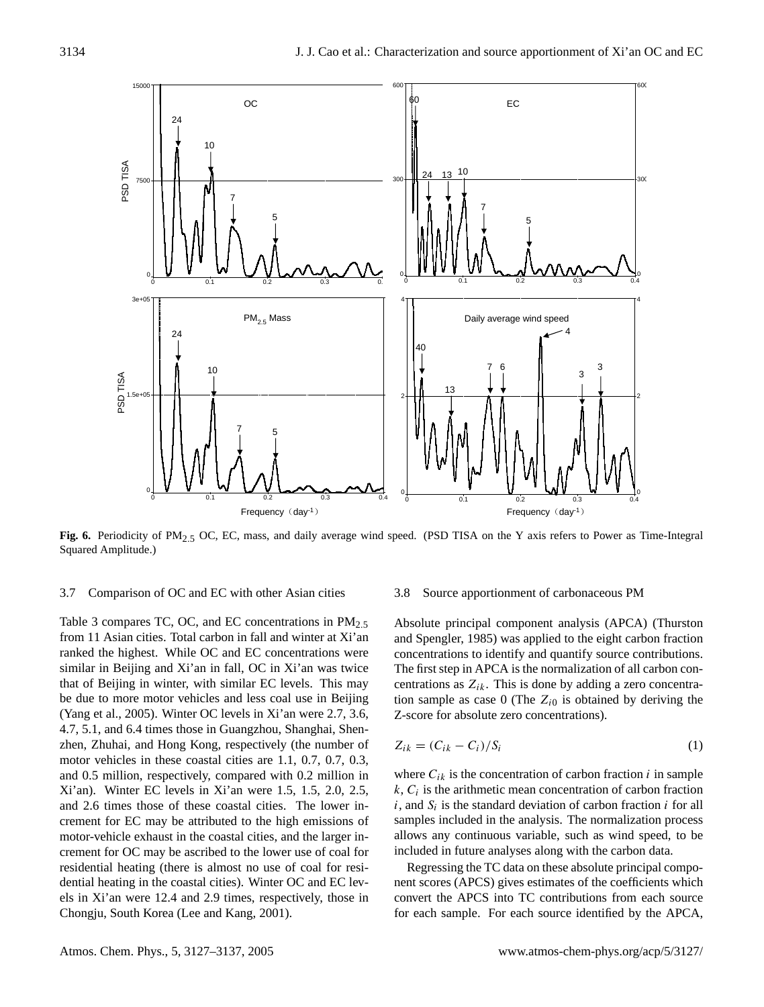

**Fig. 6.** Periodicity of PM2.5 OC, EC, mass, and daily average wind speed. (PSD TISA on the Y axis refers to Power as Time-Integral Squared Amplitude.)

#### 3.7 Comparison of OC and EC with other Asian cities

Table 3 compares TC, OC, and EC concentrations in  $PM_{2.5}$ from 11 Asian cities. Total carbon in fall and winter at Xi'an ranked the highest. While OC and EC concentrations were similar in Beijing and Xi'an in fall, OC in Xi'an was twice that of Beijing in winter, with similar EC levels. This may be due to more motor vehicles and less coal use in Beijing (Yang et al., 2005). Winter OC levels in Xi'an were 2.7, 3.6, 4.7, 5.1, and 6.4 times those in Guangzhou, Shanghai, Shenzhen, Zhuhai, and Hong Kong, respectively (the number of motor vehicles in these coastal cities are 1.1, 0.7, 0.7, 0.3, and 0.5 million, respectively, compared with 0.2 million in Xi'an). Winter EC levels in Xi'an were 1.5, 1.5, 2.0, 2.5, and 2.6 times those of these coastal cities. The lower increment for EC may be attributed to the high emissions of motor-vehicle exhaust in the coastal cities, and the larger increment for OC may be ascribed to the lower use of coal for residential heating (there is almost no use of coal for residential heating in the coastal cities). Winter OC and EC levels in Xi'an were 12.4 and 2.9 times, respectively, those in Chongju, South Korea (Lee and Kang, 2001).

#### 3.8 Source apportionment of carbonaceous PM

Absolute principal component analysis (APCA) (Thurston and Spengler, 1985) was applied to the eight carbon fraction concentrations to identify and quantify source contributions. The first step in APCA is the normalization of all carbon concentrations as  $Z_{ik}$ . This is done by adding a zero concentration sample as case 0 (The  $Z_{i0}$  is obtained by deriving the Z-score for absolute zero concentrations).

$$
Z_{ik} = (C_{ik} - C_i)/S_i
$$
 (1)

where  $C_{ik}$  is the concentration of carbon fraction i in sample  $k, C<sub>i</sub>$  is the arithmetic mean concentration of carbon fraction  $i$ , and  $S_i$  is the standard deviation of carbon fraction  $i$  for all samples included in the analysis. The normalization process allows any continuous variable, such as wind speed, to be included in future analyses along with the carbon data.

Regressing the TC data on these absolute principal component scores (APCS) gives estimates of the coefficients which convert the APCS into TC contributions from each source for each sample. For each source identified by the APCA,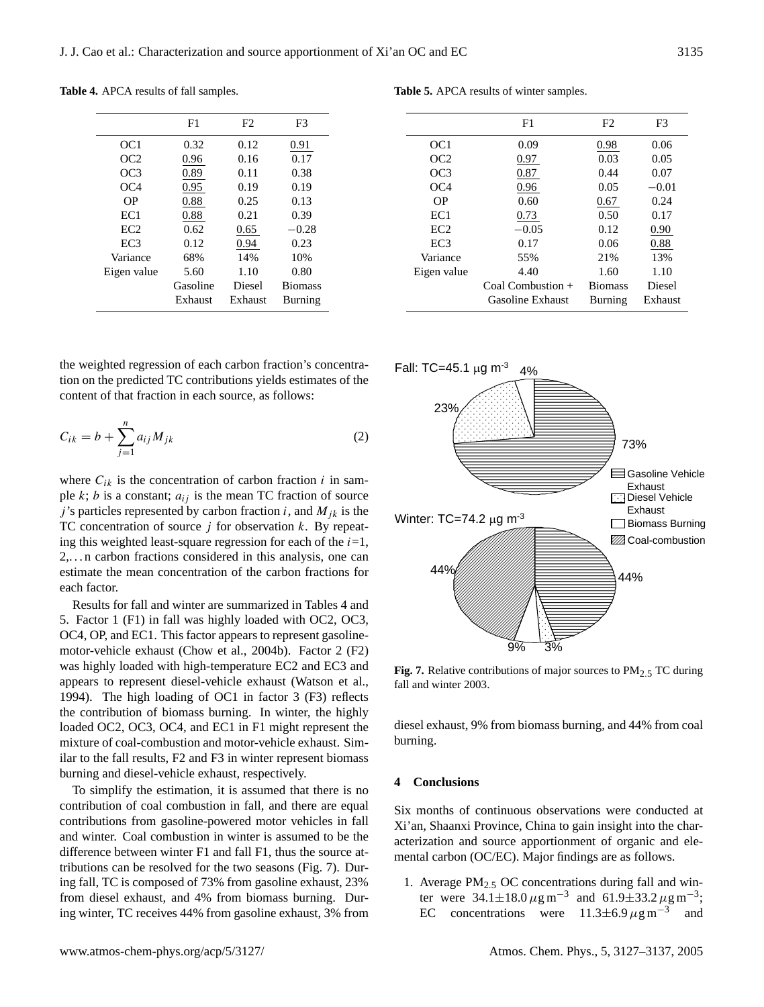|                 | F1       | F2      | F3             |
|-----------------|----------|---------|----------------|
| OC <sub>1</sub> | 0.32     | 0.12    | 0.91           |
| OC2             | 0.96     | 0.16    | 0.17           |
| OC3             | 0.89     | 0.11    | 0.38           |
| OC4             | 0.95     | 0.19    | 0.19           |
| OΡ              | 0.88     | 0.25    | 0.13           |
| EC1             | 0.88     | 0.21    | 0.39           |
| EC2             | 0.62     | 0.65    | $-0.28$        |
| EC <sub>3</sub> | 0.12     | 0.94    | 0.23           |
| Variance        | 68%      | 14%     | 10%            |
| Eigen value     | 5.60     | 1.10    | 0.80           |
|                 | Gasoline | Diesel  | <b>Biomass</b> |
|                 | Exhaust  | Exhaust | Burning        |

**Table 4.** APCA results of fall samples.

the weighted regression of each carbon fraction's concentration on the predicted TC contributions yields estimates of the content of that fraction in each source, as follows:

$$
C_{ik} = b + \sum_{j=1}^{n} a_{ij} M_{jk}
$$
 (2)

where  $C_{ik}$  is the concentration of carbon fraction i in sample  $k$ ;  $b$  is a constant;  $a_{ij}$  is the mean TC fraction of source j's particles represented by carbon fraction i, and  $M_{jk}$  is the TC concentration of source  $j$  for observation  $k$ . By repeating this weighted least-square regression for each of the  $i=1$ , 2,. . . n carbon fractions considered in this analysis, one can estimate the mean concentration of the carbon fractions for each factor.

Results for fall and winter are summarized in Tables 4 and 5. Factor 1 (F1) in fall was highly loaded with OC2, OC3, OC4, OP, and EC1. This factor appears to represent gasolinemotor-vehicle exhaust (Chow et al., 2004b). Factor 2 (F2) was highly loaded with high-temperature EC2 and EC3 and appears to represent diesel-vehicle exhaust (Watson et al., 1994). The high loading of OC1 in factor 3 (F3) reflects the contribution of biomass burning. In winter, the highly loaded OC2, OC3, OC4, and EC1 in F1 might represent the mixture of coal-combustion and motor-vehicle exhaust. Similar to the fall results, F2 and F3 in winter represent biomass burning and diesel-vehicle exhaust, respectively.

To simplify the estimation, it is assumed that there is no contribution of coal combustion in fall, and there are equal contributions from gasoline-powered motor vehicles in fall and winter. Coal combustion in winter is assumed to be the difference between winter F1 and fall F1, thus the source attributions can be resolved for the two seasons (Fig. 7). During fall, TC is composed of 73% from gasoline exhaust, 23% from diesel exhaust, and 4% from biomass burning. During winter, TC receives 44% from gasoline exhaust, 3% from

|                 | F1                  | F2             | F3      |
|-----------------|---------------------|----------------|---------|
| OC1             | 0.09                | 0.98           | 0.06    |
| OC2             | 0.97                | 0.03           | 0.05    |
| OC3             | 0.87                | 0.44           | 0.07    |
| OC4             | 0.96                | 0.05           | $-0.01$ |
| OΡ              | 0.60                | 0.67           | 0.24    |
| EC <sub>1</sub> | 0.73                | 0.50           | 0.17    |
| EC <sub>2</sub> | $-0.05$             | 0.12           | 0.90    |
| EC <sub>3</sub> | 0.17                | 0.06           | 0.88    |
| Variance        | 55%                 | 21%            | 13%     |
| Eigen value     | 4.40                | 1.60           | 1.10    |
|                 | Coal Combustion $+$ | <b>Biomass</b> | Diesel  |
|                 | Gasoline Exhaust    | <b>Burning</b> | Exhaust |



Fig. 7. Relative contributions of major sources to PM<sub>2.5</sub> TC during fall and winter 2003.

diesel exhaust, 9% from biomass burning, and 44% from coal burning.

## **4 Conclusions**

Six months of continuous observations were conducted at Xi'an, Shaanxi Province, China to gain insight into the characterization and source apportionment of organic and elemental carbon (OC/EC). Major findings are as follows.

1. Average PM2.<sup>5</sup> OC concentrations during fall and winter were  $34.1 \pm 18.0 \,\mu g \,\text{m}^{-3}$  and  $61.9 \pm 33.2 \,\mu g \,\text{m}^{-3}$ ; EC concentrations were  $11.3 \pm 6.9 \,\mu g \,\text{m}^{-3}$  and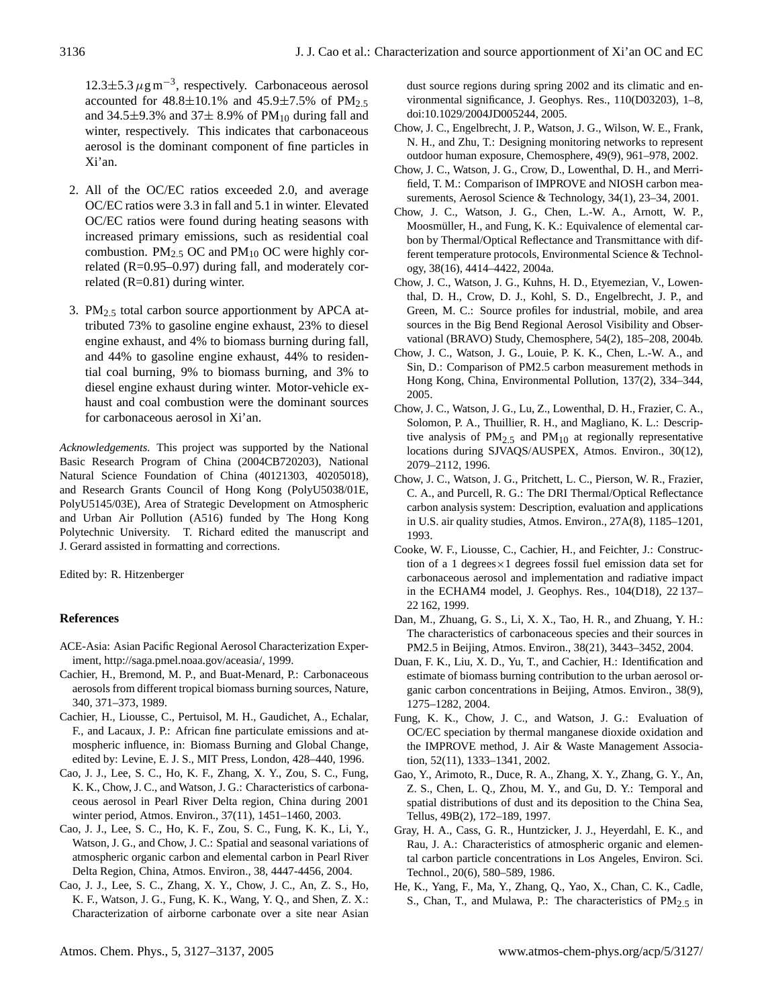12.3±5.3  $\mu$ g m<sup>-3</sup>, respectively. Carbonaceous aerosol accounted for  $48.8 \pm 10.1\%$  and  $45.9 \pm 7.5\%$  of PM<sub>2.5</sub> and 34.5 $\pm$ 9.3% and 37 $\pm$  8.9% of PM<sub>10</sub> during fall and winter, respectively. This indicates that carbonaceous aerosol is the dominant component of fine particles in Xi'an.

- 2. All of the OC/EC ratios exceeded 2.0, and average OC/EC ratios were 3.3 in fall and 5.1 in winter. Elevated OC/EC ratios were found during heating seasons with increased primary emissions, such as residential coal combustion. PM<sub>2.5</sub> OC and PM<sub>10</sub> OC were highly correlated  $(R=0.95-0.97)$  during fall, and moderately correlated (R=0.81) during winter.
- 3. PM $_{2.5}$  total carbon source apportionment by APCA attributed 73% to gasoline engine exhaust, 23% to diesel engine exhaust, and 4% to biomass burning during fall, and 44% to gasoline engine exhaust, 44% to residential coal burning, 9% to biomass burning, and 3% to diesel engine exhaust during winter. Motor-vehicle exhaust and coal combustion were the dominant sources for carbonaceous aerosol in Xi'an.

*Acknowledgements.* This project was supported by the National Basic Research Program of China (2004CB720203), National Natural Science Foundation of China (40121303, 40205018), and Research Grants Council of Hong Kong (PolyU5038/01E, PolyU5145/03E), Area of Strategic Development on Atmospheric and Urban Air Pollution (A516) funded by The Hong Kong Polytechnic University. T. Richard edited the manuscript and J. Gerard assisted in formatting and corrections.

Edited by: R. Hitzenberger

# **References**

- ACE-Asia: Asian Pacific Regional Aerosol Characterization Experiment, [http://saga.pmel.noaa.gov/aceasia/,](http://saga.pmel.noaa.gov/aceasia/) 1999.
- Cachier, H., Bremond, M. P., and Buat-Menard, P.: Carbonaceous aerosols from different tropical biomass burning sources, Nature, 340, 371–373, 1989.
- Cachier, H., Liousse, C., Pertuisol, M. H., Gaudichet, A., Echalar, F., and Lacaux, J. P.: African fine particulate emissions and atmospheric influence, in: Biomass Burning and Global Change, edited by: Levine, E. J. S., MIT Press, London, 428–440, 1996.
- Cao, J. J., Lee, S. C., Ho, K. F., Zhang, X. Y., Zou, S. C., Fung, K. K., Chow, J. C., and Watson, J. G.: Characteristics of carbonaceous aerosol in Pearl River Delta region, China during 2001 winter period, Atmos. Environ., 37(11), 1451–1460, 2003.
- Cao, J. J., Lee, S. C., Ho, K. F., Zou, S. C., Fung, K. K., Li, Y., Watson, J. G., and Chow, J. C.: Spatial and seasonal variations of atmospheric organic carbon and elemental carbon in Pearl River Delta Region, China, Atmos. Environ., 38, 4447-4456, 2004.
- Cao, J. J., Lee, S. C., Zhang, X. Y., Chow, J. C., An, Z. S., Ho, K. F., Watson, J. G., Fung, K. K., Wang, Y. Q., and Shen, Z. X.: Characterization of airborne carbonate over a site near Asian

dust source regions during spring 2002 and its climatic and environmental significance, J. Geophys. Res., 110(D03203), 1–8, doi:10.1029/2004JD005244, 2005.

- Chow, J. C., Engelbrecht, J. P., Watson, J. G., Wilson, W. E., Frank, N. H., and Zhu, T.: Designing monitoring networks to represent outdoor human exposure, Chemosphere, 49(9), 961–978, 2002.
- Chow, J. C., Watson, J. G., Crow, D., Lowenthal, D. H., and Merrifield, T. M.: Comparison of IMPROVE and NIOSH carbon measurements, Aerosol Science & Technology, 34(1), 23–34, 2001.
- Chow, J. C., Watson, J. G., Chen, L.-W. A., Arnott, W. P., Moosmüller, H., and Fung, K. K.: Equivalence of elemental carbon by Thermal/Optical Reflectance and Transmittance with different temperature protocols, Environmental Science & Technology, 38(16), 4414–4422, 2004a.
- Chow, J. C., Watson, J. G., Kuhns, H. D., Etyemezian, V., Lowenthal, D. H., Crow, D. J., Kohl, S. D., Engelbrecht, J. P., and Green, M. C.: Source profiles for industrial, mobile, and area sources in the Big Bend Regional Aerosol Visibility and Observational (BRAVO) Study, Chemosphere, 54(2), 185–208, 2004b.
- Chow, J. C., Watson, J. G., Louie, P. K. K., Chen, L.-W. A., and Sin, D.: Comparison of PM2.5 carbon measurement methods in Hong Kong, China, Environmental Pollution, 137(2), 334–344, 2005.
- Chow, J. C., Watson, J. G., Lu, Z., Lowenthal, D. H., Frazier, C. A., Solomon, P. A., Thuillier, R. H., and Magliano, K. L.: Descriptive analysis of  $PM_{2.5}$  and  $PM_{10}$  at regionally representative locations during SJVAQS/AUSPEX, Atmos. Environ., 30(12), 2079–2112, 1996.
- Chow, J. C., Watson, J. G., Pritchett, L. C., Pierson, W. R., Frazier, C. A., and Purcell, R. G.: The DRI Thermal/Optical Reflectance carbon analysis system: Description, evaluation and applications in U.S. air quality studies, Atmos. Environ., 27A(8), 1185–1201, 1993.
- Cooke, W. F., Liousse, C., Cachier, H., and Feichter, J.: Construction of a 1 degrees $\times$ 1 degrees fossil fuel emission data set for carbonaceous aerosol and implementation and radiative impact in the ECHAM4 model, J. Geophys. Res., 104(D18), 22 137– 22 162, 1999.
- Dan, M., Zhuang, G. S., Li, X. X., Tao, H. R., and Zhuang, Y. H.: The characteristics of carbonaceous species and their sources in PM2.5 in Beijing, Atmos. Environ., 38(21), 3443–3452, 2004.
- Duan, F. K., Liu, X. D., Yu, T., and Cachier, H.: Identification and estimate of biomass burning contribution to the urban aerosol organic carbon concentrations in Beijing, Atmos. Environ., 38(9), 1275–1282, 2004.
- Fung, K. K., Chow, J. C., and Watson, J. G.: Evaluation of OC/EC speciation by thermal manganese dioxide oxidation and the IMPROVE method, J. Air & Waste Management Association, 52(11), 1333–1341, 2002.
- Gao, Y., Arimoto, R., Duce, R. A., Zhang, X. Y., Zhang, G. Y., An, Z. S., Chen, L. Q., Zhou, M. Y., and Gu, D. Y.: Temporal and spatial distributions of dust and its deposition to the China Sea, Tellus, 49B(2), 172–189, 1997.
- Gray, H. A., Cass, G. R., Huntzicker, J. J., Heyerdahl, E. K., and Rau, J. A.: Characteristics of atmospheric organic and elemental carbon particle concentrations in Los Angeles, Environ. Sci. Technol., 20(6), 580–589, 1986.
- He, K., Yang, F., Ma, Y., Zhang, Q., Yao, X., Chan, C. K., Cadle, S., Chan, T., and Mulawa, P.: The characteristics of  $PM_{2.5}$  in